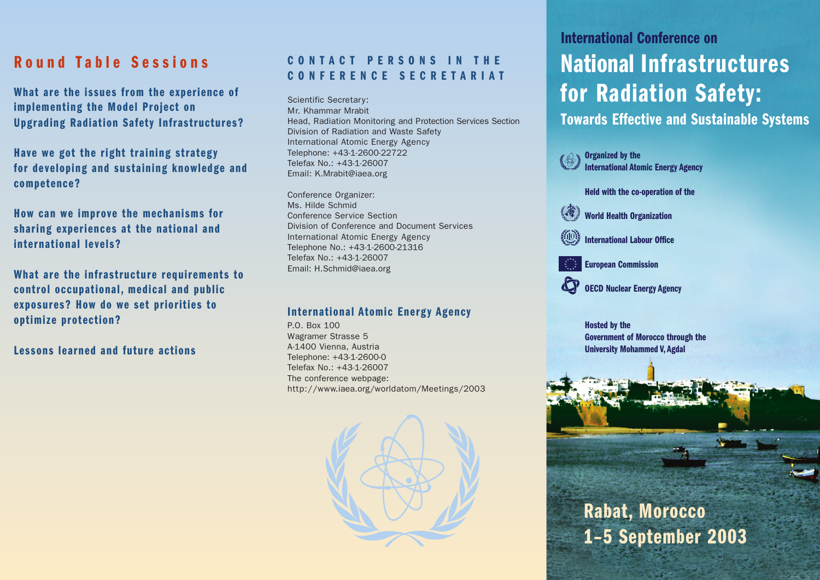# **Round Table Sessions**

**What are the issues from the experience of implementing the Model Project on Upgrading Radiation Safety Infrastructures?**

**Have we got the right training strategy for developing and sustaining knowledge and competence?**

**How can we improve the mechanisms for sharing experiences at the national and international levels?**

**What are the infrastructure requirements to control occupational, medical and public exposures? How do we set priorities to optimize protection?**

**Lessons learned and future actions**

# **CONTACT PERSONS IN THE CONFERENCE SECRETARIAT**

Scientific Secretary: Mr. Khammar Mrabit Head, Radiation Monitoring and Protection Services Section Division of Radiation and Waste Safety International Atomic Energy Agency Telephone: +43-1-2600-22722 Telefax No.: +43-1-26007 Email: K.Mrabit@iaea.org

Conference Organizer: Ms. Hilde Schmid Conference Service Section Division of Conference and Document Services International Atomic Energy Agency Telephone No.: +43-1-2600-21316 Telefax No.: +43-1-26007 Email: H.Schmid@iaea.org

#### **International Atomic Energy Agency**

P.O. Box 100 Wagramer Strasse 5 A-1400 Vienna, Austria Telephone: +43-1-2600-0 Telefax No.: +43-1-26007 The conference webpage: http://www.iaea.org/worldatom/Meetings/2003



# **International Conference on National Infrastructures for Radiation Safety:**

**Towards Effective and Sustainable Systems**



**Hosted by the Government of Morocco through the University Mohammed V, Agdal**

# **Rabat, Morocco 1–5 September 2003**